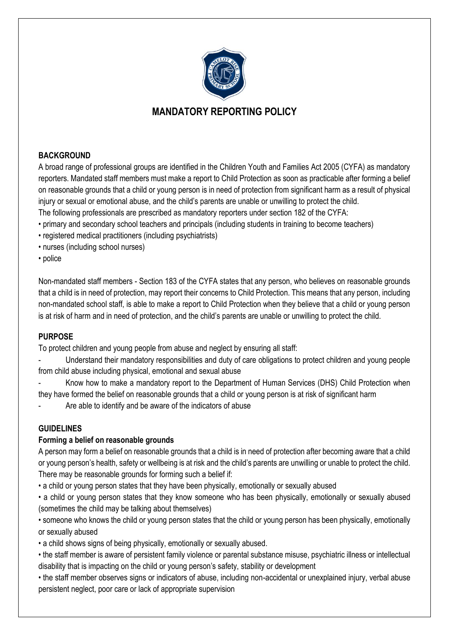

# **MANDATORY REPORTING POLICY**

# **BACKGROUND**

A broad range of professional groups are identified in the Children Youth and Families Act 2005 (CYFA) as mandatory reporters. Mandated staff members must make a report to Child Protection as soon as practicable after forming a belief on reasonable grounds that a child or young person is in need of protection from significant harm as a result of physical injury or sexual or emotional abuse, and the child's parents are unable or unwilling to protect the child.

The following professionals are prescribed as mandatory reporters under section 182 of the CYFA:

- primary and secondary school teachers and principals (including students in training to become teachers)
- registered medical practitioners (including psychiatrists)
- nurses (including school nurses)
- police

Non-mandated staff members - Section 183 of the CYFA states that any person, who believes on reasonable grounds that a child is in need of protection, may report their concerns to Child Protection. This means that any person, including non-mandated school staff, is able to make a report to Child Protection when they believe that a child or young person is at risk of harm and in need of protection, and the child's parents are unable or unwilling to protect the child.

# **PURPOSE**

To protect children and young people from abuse and neglect by ensuring all staff:

Understand their mandatory responsibilities and duty of care obligations to protect children and young people from child abuse including physical, emotional and sexual abuse

Know how to make a mandatory report to the Department of Human Services (DHS) Child Protection when they have formed the belief on reasonable grounds that a child or young person is at risk of significant harm

Are able to identify and be aware of the indicators of abuse

# **GUIDELINES**

# **Forming a belief on reasonable grounds**

A person may form a belief on reasonable grounds that a child is in need of protection after becoming aware that a child or young person's health, safety or wellbeing is at risk and the child's parents are unwilling or unable to protect the child. There may be reasonable grounds for forming such a belief if:

• a child or young person states that they have been physically, emotionally or sexually abused

• a child or young person states that they know someone who has been physically, emotionally or sexually abused (sometimes the child may be talking about themselves)

• someone who knows the child or young person states that the child or young person has been physically, emotionally or sexually abused

- a child shows signs of being physically, emotionally or sexually abused.
- the staff member is aware of persistent family violence or parental substance misuse, psychiatric illness or intellectual disability that is impacting on the child or young person's safety, stability or development

• the staff member observes signs or indicators of abuse, including non-accidental or unexplained injury, verbal abuse persistent neglect, poor care or lack of appropriate supervision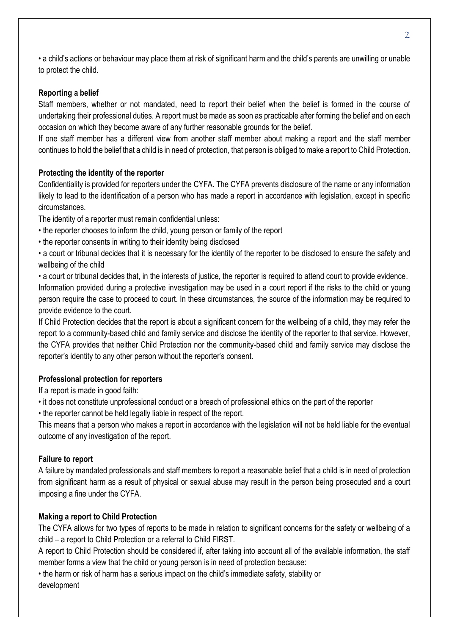• a child's actions or behaviour may place them at risk of significant harm and the child's parents are unwilling or unable to protect the child.

### **Reporting a belief**

Staff members, whether or not mandated, need to report their belief when the belief is formed in the course of undertaking their professional duties. A report must be made as soon as practicable after forming the belief and on each occasion on which they become aware of any further reasonable grounds for the belief.

If one staff member has a different view from another staff member about making a report and the staff member continues to hold the belief that a child is in need of protection, that person is obliged to make a report to Child Protection.

### **Protecting the identity of the reporter**

Confidentiality is provided for reporters under the CYFA. The CYFA prevents disclosure of the name or any information likely to lead to the identification of a person who has made a report in accordance with legislation, except in specific circumstances.

The identity of a reporter must remain confidential unless:

- the reporter chooses to inform the child, young person or family of the report
- the reporter consents in writing to their identity being disclosed

• a court or tribunal decides that it is necessary for the identity of the reporter to be disclosed to ensure the safety and wellbeing of the child

• a court or tribunal decides that, in the interests of justice, the reporter is required to attend court to provide evidence. Information provided during a protective investigation may be used in a court report if the risks to the child or young person require the case to proceed to court. In these circumstances, the source of the information may be required to provide evidence to the court.

If Child Protection decides that the report is about a significant concern for the wellbeing of a child, they may refer the report to a community-based child and family service and disclose the identity of the reporter to that service. However, the CYFA provides that neither Child Protection nor the community-based child and family service may disclose the reporter's identity to any other person without the reporter's consent.

# **Professional protection for reporters**

If a report is made in good faith:

• it does not constitute unprofessional conduct or a breach of professional ethics on the part of the reporter

• the reporter cannot be held legally liable in respect of the report.

This means that a person who makes a report in accordance with the legislation will not be held liable for the eventual outcome of any investigation of the report.

#### **Failure to report**

A failure by mandated professionals and staff members to report a reasonable belief that a child is in need of protection from significant harm as a result of physical or sexual abuse may result in the person being prosecuted and a court imposing a fine under the CYFA.

#### **Making a report to Child Protection**

The CYFA allows for two types of reports to be made in relation to significant concerns for the safety or wellbeing of a child – a report to Child Protection or a referral to Child FIRST.

A report to Child Protection should be considered if, after taking into account all of the available information, the staff member forms a view that the child or young person is in need of protection because:

• the harm or risk of harm has a serious impact on the child's immediate safety, stability or development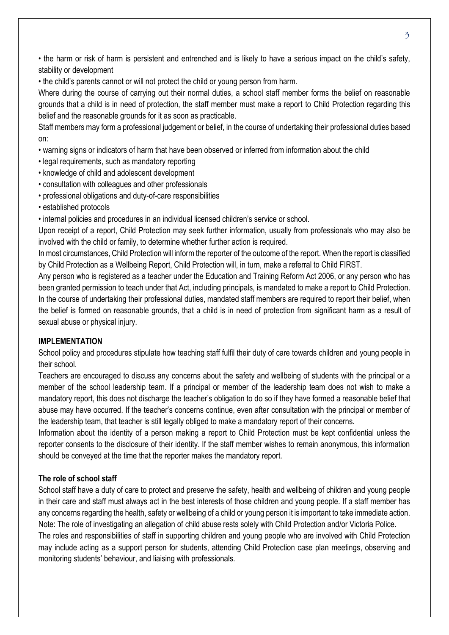• the harm or risk of harm is persistent and entrenched and is likely to have a serious impact on the child's safety, stability or development

• the child's parents cannot or will not protect the child or young person from harm.

Where during the course of carrying out their normal duties, a school staff member forms the belief on reasonable grounds that a child is in need of protection, the staff member must make a report to Child Protection regarding this belief and the reasonable grounds for it as soon as practicable.

Staff members may form a professional judgement or belief, in the course of undertaking their professional duties based on:

• warning signs or indicators of harm that have been observed or inferred from information about the child

- legal requirements, such as mandatory reporting
- knowledge of child and adolescent development
- consultation with colleagues and other professionals
- professional obligations and duty-of-care responsibilities
- established protocols

• internal policies and procedures in an individual licensed children's service or school.

Upon receipt of a report, Child Protection may seek further information, usually from professionals who may also be involved with the child or family, to determine whether further action is required.

In most circumstances, Child Protection will inform the reporter of the outcome of the report. When the report is classified by Child Protection as a Wellbeing Report, Child Protection will, in turn, make a referral to Child FIRST.

Any person who is registered as a teacher under the Education and Training Reform Act 2006, or any person who has been granted permission to teach under that Act, including principals, is mandated to make a report to Child Protection. In the course of undertaking their professional duties, mandated staff members are required to report their belief, when the belief is formed on reasonable grounds, that a child is in need of protection from significant harm as a result of sexual abuse or physical injury.

#### **IMPLEMENTATION**

School policy and procedures stipulate how teaching staff fulfil their duty of care towards children and young people in their school.

Teachers are encouraged to discuss any concerns about the safety and wellbeing of students with the principal or a member of the school leadership team. If a principal or member of the leadership team does not wish to make a mandatory report, this does not discharge the teacher's obligation to do so if they have formed a reasonable belief that abuse may have occurred. If the teacher's concerns continue, even after consultation with the principal or member of the leadership team, that teacher is still legally obliged to make a mandatory report of their concerns.

Information about the identity of a person making a report to Child Protection must be kept confidential unless the reporter consents to the disclosure of their identity. If the staff member wishes to remain anonymous, this information should be conveyed at the time that the reporter makes the mandatory report.

#### **The role of school staff**

School staff have a duty of care to protect and preserve the safety, health and wellbeing of children and young people in their care and staff must always act in the best interests of those children and young people. If a staff member has any concerns regarding the health, safety or wellbeing of a child or young person it is important to take immediate action. Note: The role of investigating an allegation of child abuse rests solely with Child Protection and/or Victoria Police.

The roles and responsibilities of staff in supporting children and young people who are involved with Child Protection may include acting as a support person for students, attending Child Protection case plan meetings, observing and monitoring students' behaviour, and liaising with professionals.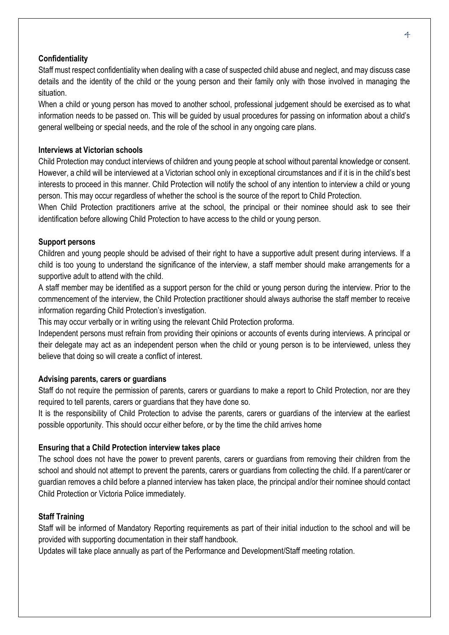#### **Confidentiality**

Staff must respect confidentiality when dealing with a case of suspected child abuse and neglect, and may discuss case details and the identity of the child or the young person and their family only with those involved in managing the situation.

When a child or young person has moved to another school, professional judgement should be exercised as to what information needs to be passed on. This will be guided by usual procedures for passing on information about a child's general wellbeing or special needs, and the role of the school in any ongoing care plans.

#### **Interviews at Victorian schools**

Child Protection may conduct interviews of children and young people at school without parental knowledge or consent. However, a child will be interviewed at a Victorian school only in exceptional circumstances and if it is in the child's best interests to proceed in this manner. Child Protection will notify the school of any intention to interview a child or young person. This may occur regardless of whether the school is the source of the report to Child Protection.

When Child Protection practitioners arrive at the school, the principal or their nominee should ask to see their identification before allowing Child Protection to have access to the child or young person.

#### **Support persons**

Children and young people should be advised of their right to have a supportive adult present during interviews. If a child is too young to understand the significance of the interview, a staff member should make arrangements for a supportive adult to attend with the child.

A staff member may be identified as a support person for the child or young person during the interview. Prior to the commencement of the interview, the Child Protection practitioner should always authorise the staff member to receive information regarding Child Protection's investigation.

This may occur verbally or in writing using the relevant Child Protection proforma.

Independent persons must refrain from providing their opinions or accounts of events during interviews. A principal or their delegate may act as an independent person when the child or young person is to be interviewed, unless they believe that doing so will create a conflict of interest.

#### **Advising parents, carers or guardians**

Staff do not require the permission of parents, carers or guardians to make a report to Child Protection, nor are they required to tell parents, carers or guardians that they have done so.

It is the responsibility of Child Protection to advise the parents, carers or guardians of the interview at the earliest possible opportunity. This should occur either before, or by the time the child arrives home

#### **Ensuring that a Child Protection interview takes place**

The school does not have the power to prevent parents, carers or guardians from removing their children from the school and should not attempt to prevent the parents, carers or guardians from collecting the child. If a parent/carer or guardian removes a child before a planned interview has taken place, the principal and/or their nominee should contact Child Protection or Victoria Police immediately.

#### **Staff Training**

Staff will be informed of Mandatory Reporting requirements as part of their initial induction to the school and will be provided with supporting documentation in their staff handbook.

Updates will take place annually as part of the Performance and Development/Staff meeting rotation.